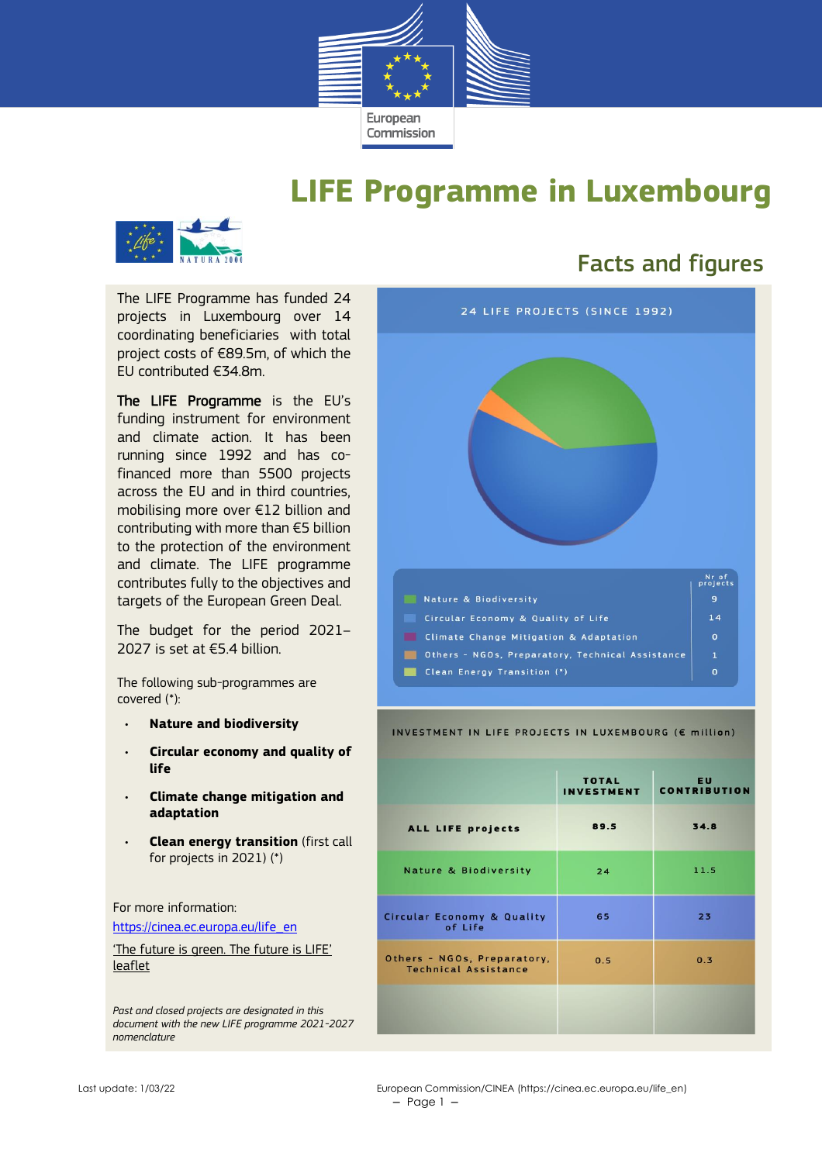

## **LIFE Programme in Luxembourg**



The LIFE Programme has funded 24 projects in Luxembourg over 14 coordinating beneficiaries with total project costs of €89.5m, of which the EU contributed €34.8m.

The LIFE Programme is the EU's funding instrument for environment and climate action. It has been running since 1992 and has cofinanced more than 5500 projects across the EU and in third countries, mobilising more over €12 billion and contributing with more than €5 billion to the protection of the environment and climate. The LIFE programme contributes fully to the objectives and targets of the European Green Deal.

The budget for the period 2021– 2027 is set at  $\epsilon$ 5.4 billion.

The following sub-programmes are covered (\*):

- **Nature and biodiversity**
- **Circular economy and quality of life**
- **Climate change mitigation and adaptation**
- **Clean energy transition** (first call for projects in 2021) (\*)

For more information:

[https://cinea.ec.europa.eu/life\\_en](https://cinea.ec.europa.eu/life_en)

['The future is green. The future is LIFE'](https://cinea.ec.europa.eu/publications/future-green-future-life-leaflet_en)  [leaflet](https://cinea.ec.europa.eu/publications/future-green-future-life-leaflet_en)

*Past and closed projects are designated in this document with the new LIFE programme 2021-2027 nomenclature*

## Facts and figures



#### INVESTMENT IN LIFE PROJECTS IN LUXEMBOURG (€ million)

|                                                            | <b>TOTAL</b><br><b>INVESTMENT</b> | <b>EU</b><br><b>CONTRIBUTION</b> |
|------------------------------------------------------------|-----------------------------------|----------------------------------|
| ALL LIFE projects                                          | 89.5                              | 34.8                             |
| <b>Nature &amp; Biodiversity</b>                           | 24                                | 11.5                             |
| <b>Circular Economy &amp; Quality</b><br>of Life           | 65                                | 23                               |
| Others - NGOs, Preparatory,<br><b>Technical Assistance</b> | 0.5                               | 0.3                              |
|                                                            |                                   |                                  |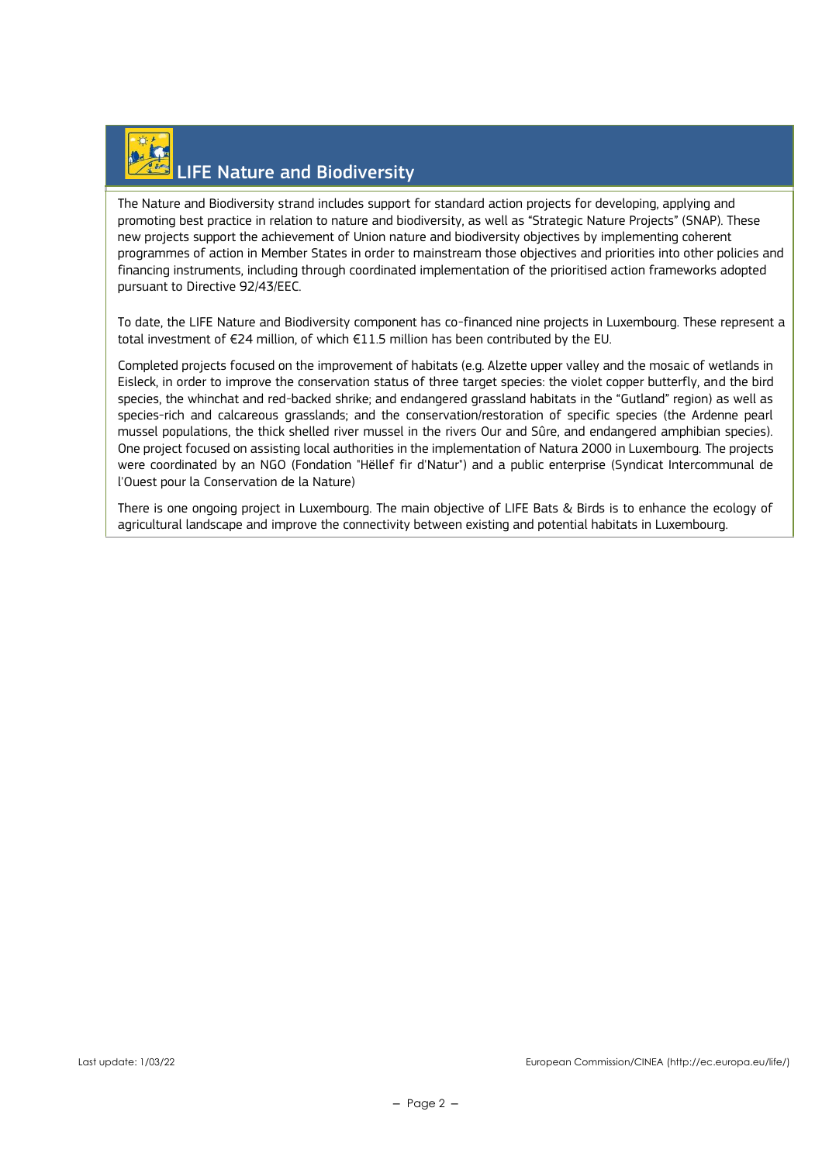# LIFE Nature and Biodiversity

The Nature and Biodiversity strand includes support for standard action projects for developing, applying and promoting best practice in relation to nature and biodiversity, as well as "Strategic Nature Projects" (SNAP). These new projects support the achievement of Union nature and biodiversity objectives by implementing coherent programmes of action in Member States in order to mainstream those objectives and priorities into other policies and financing instruments, including through coordinated implementation of the prioritised action frameworks adopted pursuant to Directive 92/43/EEC.

To date, the LIFE Nature and Biodiversity component has co-financed nine projects in Luxembourg. These represent a total investment of €24 million, of which €11.5 million has been contributed by the EU.

Completed projects focused on the improvement of habitats (e.g. Alzette upper valley and the mosaic of wetlands in Eisleck, in order to improve the conservation status of three target species: the violet copper butterfly, and the bird species, the whinchat and red-backed shrike; and endangered grassland habitats in the "Gutland" region) as well as species-rich and calcareous grasslands; and the conservation/restoration of specific species (the Ardenne pearl mussel populations, the thick shelled river mussel in the rivers Our and Sûre, and endangered amphibian species). One project focused on assisting local authorities in the implementation of Natura 2000 in Luxembourg. The projects were coordinated by an NGO (Fondation "Hëllef fir d'Natur") and a public enterprise (Syndicat Intercommunal de l'Ouest pour la Conservation de la Nature)

There is one ongoing project in Luxembourg. The main objective of LIFE Bats & Birds is to enhance the ecology of agricultural landscape and improve the connectivity between existing and potential habitats in Luxembourg.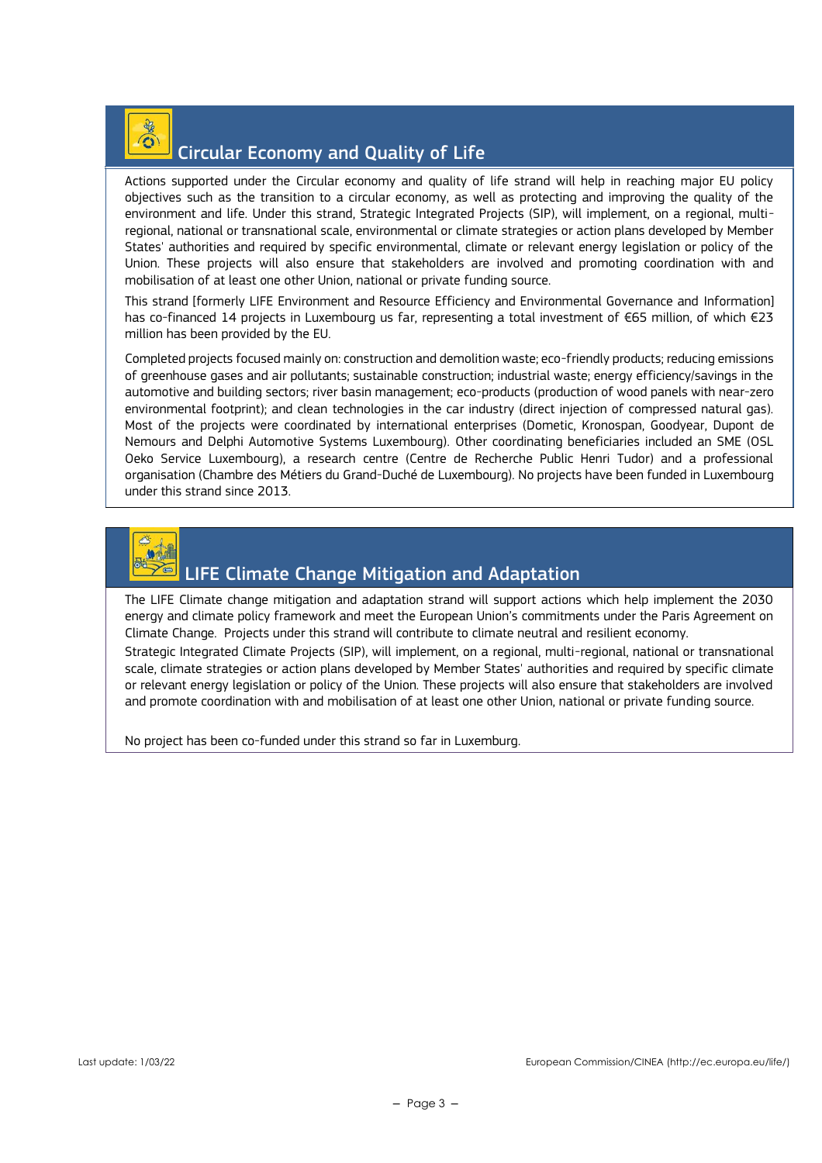

#### Circular Economy and Quality of Life

Actions supported under the Circular economy and quality of life strand will help in reaching major EU policy objectives such as the transition to a circular economy, as well as protecting and improving the quality of the environment and life. Under this strand, Strategic Integrated Projects (SIP), will implement, on a regional, multiregional, national or transnational scale, environmental or climate strategies or action plans developed by Member States' authorities and required by specific environmental, climate or relevant energy legislation or policy of the Union. These projects will also ensure that stakeholders are involved and promoting coordination with and mobilisation of at least one other Union, national or private funding source.

This strand [formerly LIFE Environment and Resource Efficiency and Environmental Governance and Information] has co-financed 14 projects in Luxembourg us far, representing a total investment of €65 million, of which €23 million has been provided by the EU.

Completed projects focused mainly on: construction and demolition waste; eco-friendly products; reducing emissions of greenhouse gases and air pollutants; sustainable construction; industrial waste; energy efficiency/savings in the automotive and building sectors; river basin management; eco-products (production of wood panels with near-zero environmental footprint); and clean technologies in the car industry (direct injection of compressed natural gas). Most of the projects were coordinated by international enterprises (Dometic, Kronospan, Goodyear, Dupont de Nemours and Delphi Automotive Systems Luxembourg). Other coordinating beneficiaries included an SME (OSL Oeko Service Luxembourg), a research centre (Centre de Recherche Public Henri Tudor) and a professional organisation (Chambre des Métiers du Grand-Duché de Luxembourg). No projects have been funded in Luxembourg under this strand since 2013.



#### LIFE Climate Change Mitigation and Adaptation

The LIFE Climate change mitigation and adaptation strand will support actions which help implement the 2030 energy and climate policy framework and meet the European Union's commitments under the Paris Agreement on Climate Change. Projects under this strand will contribute to climate neutral and resilient economy.

Strategic Integrated Climate Projects (SIP), will implement, on a regional, multi-regional, national or transnational scale, climate strategies or action plans developed by Member States' authorities and required by specific climate or relevant energy legislation or policy of the Union. These projects will also ensure that stakeholders are involved and promote coordination with and mobilisation of at least one other Union, national or private funding source.

No project has been co-funded under this strand so far in Luxemburg.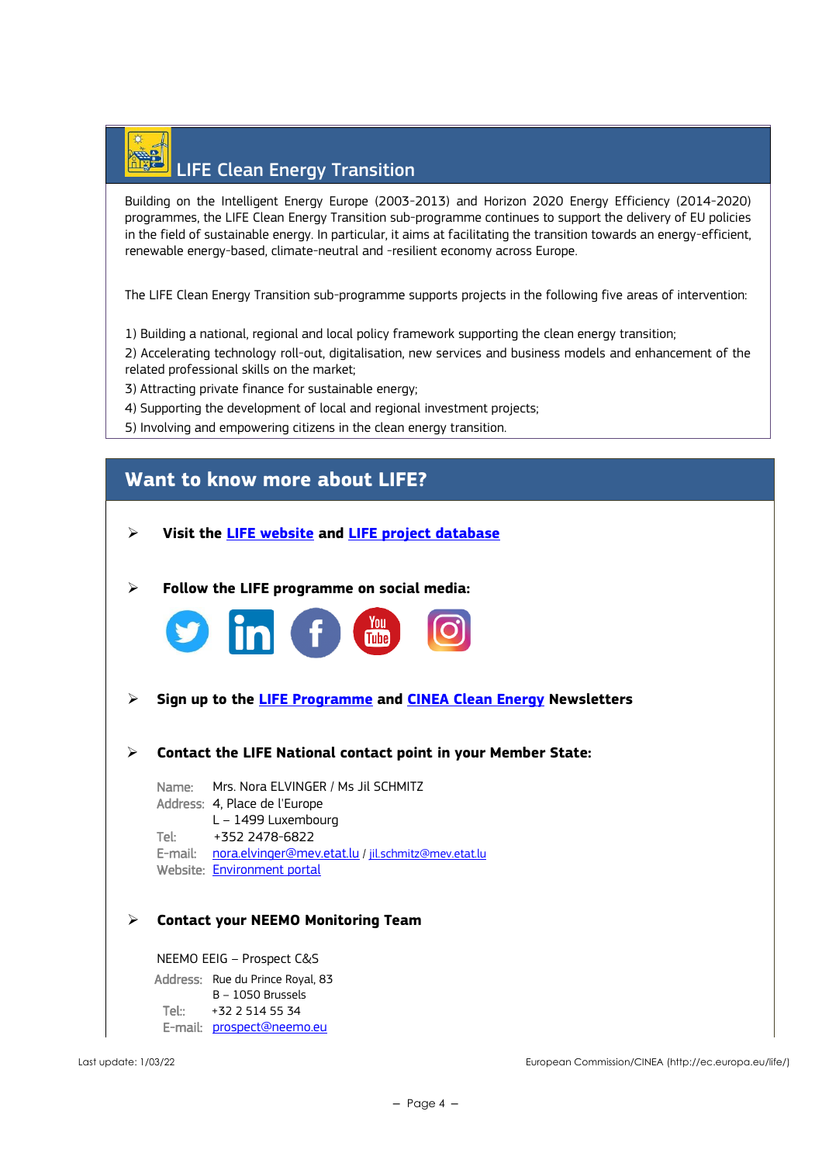## LIFE Clean Energy Transition

Building on the Intelligent Energy Europe (2003-2013) and Horizon 2020 Energy Efficiency (2014-2020) programmes, the LIFE Clean Energy Transition sub-programme continues to support the delivery of EU policies in the field of sustainable energy. In particular, it aims at facilitating the transition towards an energy-efficient, renewable energy-based, climate-neutral and -resilient economy across Europe.

The LIFE Clean Energy Transition sub-programme supports projects in the following five areas of intervention:

1) Building a national, regional and local policy framework supporting the clean energy transition;

2) Accelerating technology roll-out, digitalisation, new services and business models and enhancement of the related professional skills on the market;

3) Attracting private finance for sustainable energy;

- 4) Supporting the development of local and regional investment projects;
- 5) Involving and empowering citizens in the clean energy transition.

### **Want to know more about LIFE?**

- ➢ **Visit the [LIFE website](https://cinea.ec.europa.eu/life_en) and [LIFE project database](https://webgate.ec.europa.eu/life/publicWebsite/search)**
- ➢ **Follow the LIFE programme on social media:**



- ➢ **Sign up to the [LIFE Programme](https://ec.europa.eu/newsroom/cinea/user-subscriptions/2183/create) and [CINEA Clean Energy](https://ec.europa.eu/newsroom/cinea/user-subscriptions/2180/create) Newsletters**
- ➢ **Contact the LIFE National contact point in your Member State:**

Name: Mrs. Nora ELVINGER / Ms Jil SCHMITZ Address: 4, Place de l'Europe L – 1499 Luxembourg Tel: +352 2478-6822 E-mail: [nora.elvinger@mev.etat.lu](mailto:nora.elvinger@mev.etat.lu) / [jil.schmitz@mev.etat.lu](mailto:jil.schmitz@mev.etat.lu) Website: [Environment portal](https://environnement.public.lu/fr.html) 

#### ➢ **Contact your NEEMO Monitoring Team**

NEEMO EEIG – Prospect C&S Address: Rue du Prince Royal, 83 B – 1050 Brussels Tel:: +32 2 514 55 34 E-mail: [prospect@neemo.eu](mailto:prospect@neemo.eu)